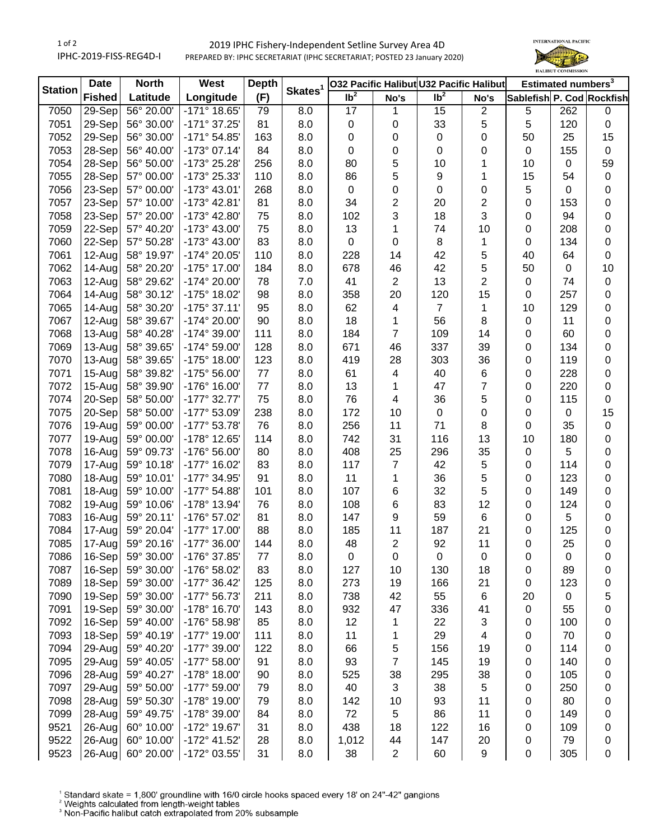1 of 2 IPHC-2019-FISS-REG4D-I

## 2019 IPHC Fishery-Independent Setline Survey Area 4D PREPARED BY: IPHC SECRETARIAT (IPHC SECRETARIAT; POSTED 23 January 2020)



| <b>Station</b> | <b>Date</b>   | <b>North</b> | West                  | <b>Depth</b> | Skates <sup>1</sup> |                 |                         | O32 Pacific Halibut U32 Pacific Halibut |                | Estimated numbers <sup>3</sup> |             |           |
|----------------|---------------|--------------|-----------------------|--------------|---------------------|-----------------|-------------------------|-----------------------------------------|----------------|--------------------------------|-------------|-----------|
|                | <b>Fished</b> | Latitude     | Longitude             | (F)          |                     | Ib <sup>2</sup> | No's                    | $\overline{\mathsf{lb}^2}$              | No's           | Sablefish P. Cod Rockfish      |             |           |
| 7050           | 29-Sep        | 56° 20.00'   | $-171°$ 18.65'        | 79           | 8.0                 | $\overline{17}$ | 1                       | 15                                      | $\overline{c}$ | 5                              | 262         | 0         |
| 7051           | 29-Sep        | 56° 30.00'   | -171° 37.25'          | 81           | 8.0                 | $\pmb{0}$       | 0                       | 33                                      | 5              | 5                              | 120         | $\pmb{0}$ |
| 7052           | 29-Sep        | 56° 30.00'   | $-171°54.85'$         | 163          | 8.0                 | 0               | 0                       | $\mathbf 0$                             | 0              | 50                             | 25          | 15        |
| 7053           | 28-Sep        | 56° 40.00'   | $-173^{\circ}$ 07.14' | 84           | 8.0                 | 0               | 0                       | 0                                       | 0              | $\pmb{0}$                      | 155         | $\pmb{0}$ |
| 7054           | 28-Sep        | 56° 50.00'   | -173° 25.28'          | 256          | 8.0                 | 80              | 5                       | 10                                      | 1              | 10                             | $\mathbf 0$ | 59        |
| 7055           | 28-Sep        | 57° 00.00'   | -173° 25.33'          | 110          | 8.0                 | 86              | 5                       | 9                                       | 1              | 15                             | 54          | $\pmb{0}$ |
| 7056           | 23-Sep        | 57° 00.00'   | -173° 43.01'          | 268          | 8.0                 | $\pmb{0}$       | 0                       | 0                                       | 0              | 5                              | 0           | 0         |
| 7057           | 23-Sep        | 57° 10.00'   | $-173^{\circ}$ 42.81' | 81           | 8.0                 | 34              | $\overline{\mathbf{c}}$ | 20                                      | 2              | 0                              | 153         | 0         |
| 7058           | 23-Sep        | 57° 20.00'   | -173° 42.80'          | 75           | 8.0                 | 102             | 3                       | 18                                      | 3              | 0                              | 94          | $\pmb{0}$ |
| 7059           | 22-Sep        | 57° 40.20'   | -173° 43.00'          | 75           | 8.0                 | 13              | 1                       | 74                                      | 10             | $\pmb{0}$                      | 208         | $\pmb{0}$ |
| 7060           | 22-Sep        | 57° 50.28'   | $-173^{\circ}$ 43.00' | 83           | 8.0                 | $\pmb{0}$       | $\pmb{0}$               | 8                                       | 1              | $\pmb{0}$                      | 134         | $\pmb{0}$ |
| 7061           | 12-Aug        | 58° 19.97'   | -174° 20.05'          | 110          | 8.0                 | 228             | 14                      | 42                                      | 5              | 40                             | 64          | $\pmb{0}$ |
| 7062           | 14-Aug        | 58° 20.20'   | -175° 17.00'          | 184          | 8.0                 | 678             | 46                      | 42                                      | 5              | 50                             | $\mathbf 0$ | 10        |
| 7063           | 12-Aug        | 58° 29.62'   | -174° 20.00'          | 78           | 7.0                 | 41              | $\overline{\mathbf{c}}$ | 13                                      | $\overline{2}$ | 0                              | 74          | $\pmb{0}$ |
| 7064           | 14-Aug        | 58° 30.12'   | -175° 18.02'          | 98           | 8.0                 | 358             | 20                      | 120                                     | 15             | 0                              | 257         | 0         |
| 7065           | 14-Aug        | 58° 30.20'   | $-175°37.11'$         | 95           | 8.0                 | 62              | 4                       | $\overline{7}$                          | 1              | 10                             | 129         | 0         |
| 7067           | 12-Aug        | 58° 39.67'   | -174° 20.00'          | 90           | 8.0                 | 18              | 1                       | 56                                      | 8              | $\pmb{0}$                      | 11          | 0         |
| 7068           | 13-Aug        | 58° 40.28'   | -174° 39.00'          | 111          | 8.0                 | 184             | 7                       | 109                                     | 14             | 0                              | 60          | 0         |
| 7069           | 13-Aug        | 58° 39.65'   | -174° 59.00'          | 128          | 8.0                 | 671             | 46                      | 337                                     | 39             | 0                              | 134         | $\pmb{0}$ |
| 7070           | 13-Aug        | 58° 39.65'   | -175° 18.00'          | 123          | 8.0                 | 419             | 28                      | 303                                     | 36             | 0                              | 119         | 0         |
| 7071           | 15-Aug        | 58° 39.82'   | -175° 56.00'          | 77           | 8.0                 | 61              | 4                       | 40                                      | 6              | 0                              | 228         | 0         |
| 7072           | 15-Aug        | 58° 39.90'   | -176° 16.00'          | 77           | 8.0                 | 13              | 1                       | 47                                      | 7              | 0                              | 220         | $\pmb{0}$ |
| 7074           | 20-Sep        | 58° 50.00'   | $-177^{\circ}$ 32.77' | 75           | 8.0                 | 76              | 4                       | 36                                      | 5              | 0                              | 115         | $\pmb{0}$ |
| 7075           | 20-Sep        | 58° 50.00'   | -177° 53.09'          | 238          | 8.0                 | 172             | 10                      | $\pmb{0}$                               | 0              | 0                              | $\mathbf 0$ | 15        |
| 7076           | 19-Aug        | 59° 00.00'   | $-177^{\circ}$ 53.78' | 76           | 8.0                 | 256             | 11                      | 71                                      | 8              | 0                              | 35          | $\pmb{0}$ |
| 7077           | 19-Aug        | 59° 00.00'   | -178° 12.65'          | 114          | 8.0                 | 742             | 31                      | 116                                     | 13             | 10                             | 180         | $\pmb{0}$ |
| 7078           | 16-Aug        | 59° 09.73'   | -176° 56.00'          | 80           | 8.0                 | 408             | 25                      | 296                                     | 35             | $\pmb{0}$                      | 5           | $\pmb{0}$ |
| 7079           | 17-Aug        | 59° 10.18'   | -177° 16.02'          | 83           | 8.0                 | 117             | $\overline{7}$          | 42                                      | 5              | 0                              | 114         | $\pmb{0}$ |
| 7080           | 18-Aug        | 59° 10.01'   | -177° 34.95'          | 91           | 8.0                 | 11              | 1                       | 36                                      | 5              | $\pmb{0}$                      | 123         | 0         |
| 7081           | 18-Aug        | 59° 10.00'   | -177° 54.88'          | 101          | 8.0                 | 107             | 6                       | 32                                      | 5              | 0                              | 149         | 0         |
| 7082           | $19-Auq$      | 59° 10.06'   | -178° 13.94'          | 76           | 8.0                 | 108             | 6                       | 83                                      | 12             | 0                              | 124         | $\pmb{0}$ |
| 7083           | 16-Aug        | 59° 20.11'   | -176° 57.02'          | 81           | 8.0                 | 147             | 9                       | 59                                      | 6              | 0                              | 5           | 0         |
| 7084           | 17-Aug        | 59° 20.04'   | -177° 17.00'          | 88           | 8.0                 | 185             | 11                      | 187                                     | 21             | 0                              | 125         | 0         |
| 7085           | 17-Aug        | 59° 20.16'   | -177° 36.00'          | 144          | 8.0                 | 48              | $\overline{2}$          | 92                                      | 11             | 0                              | 25          | $\pmb{0}$ |
| 7086           | 16-Sep        | 59° 30.00'   | -176° 37.85'          | 77           | 8.0                 | 0               | 0                       | 0                                       | 0              | 0                              | 0           | 0         |
| 7087           | 16-Sep        | 59° 30.00'   | -176° 58.02'          | 83           | 8.0                 | 127             | 10                      | 130                                     | 18             | 0                              | 89          | 0         |
| 7089           | 18-Sep        | 59° 30.00'   | $-177^{\circ}$ 36.42' | 125          | 8.0                 | 273             | 19                      | 166                                     | 21             | 0                              | 123         | 0         |
| 7090           | 19-Sep        | 59° 30.00'   | -177° 56.73'          | 211          | 8.0                 | 738             | 42                      | 55                                      | 6              | 20                             | $\mathbf 0$ | 5         |
| 7091           | 19-Sep        | 59° 30.00'   | -178° 16.70'          | 143          | 8.0                 | 932             | 47                      | 336                                     | 41             | 0                              | 55          | 0         |
| 7092           | 16-Sep        | 59° 40.00'   | -176° 58.98'          | 85           | 8.0                 | 12              | 1                       | 22                                      | 3              | 0                              | 100         | 0         |
| 7093           | 18-Sep        | 59° 40.19'   | -177° 19.00'          | 111          | 8.0                 | 11              | 1                       | 29                                      | 4              | 0                              | 70          | 0         |
| 7094           | 29-Aug        | 59° 40.20'   | -177° 39.00'          | 122          | 8.0                 | 66              | 5                       | 156                                     | 19             | 0                              | 114         | 0         |
| 7095           | 29-Aug        | 59° 40.05'   | $-177^{\circ} 58.00'$ | 91           | 8.0                 | 93              | $\overline{7}$          | 145                                     | 19             | 0                              | 140         | 0         |
| 7096           | 28-Aug        | 59° 40.27'   | -178° 18.00'          | 90           | 8.0                 | 525             | 38                      | 295                                     | 38             | 0                              | 105         | 0         |
| 7097           | 29-Aug        | 59° 50.00'   | -177° 59.00'          | 79           | 8.0                 | 40              | 3                       | 38                                      | 5              | 0                              | 250         | 0         |
| 7098           | 28-Aug        | 59° 50.30'   | -178° 19.00'          | 79           | 8.0                 | 142             | 10                      | 93                                      | 11             | 0                              | 80          | 0         |
| 7099           | 28-Aug        | 59° 49.75'   | -178° 39.00'          | 84           | 8.0                 | 72              | 5                       | 86                                      | 11             | 0                              | 149         | 0         |
| 9521           | 26-Aug        | 60° 10.00'   | -172° 19.67'          | 31           | 8.0                 | 438             | 18                      | 122                                     | 16             | 0                              | 109         | 0         |
| 9522           | 26-Aug        | 60° 10.00'   | -172° 41.52'          | 28           | 8.0                 | 1,012           | 44                      | 147                                     | 20             | 0                              | 79          | 0         |
| 9523           | $26$ -Aug     | 60° 20.00'   | -172° 03.55'          | 31           | 8.0                 | 38              | $\overline{2}$          | 60                                      | 9              | $\pmb{0}$                      | 305         | $\pmb{0}$ |

<sup>1</sup> Standard skate = 1,800' groundline with 16/0 circle hooks spaced every 18' on 24"-42" gangions <sup>2</sup> Weights calculated from length-weight tables<br><sup>2</sup> Weights calculated from length-weight tables<br><sup>3</sup> Non-Pacific halibut